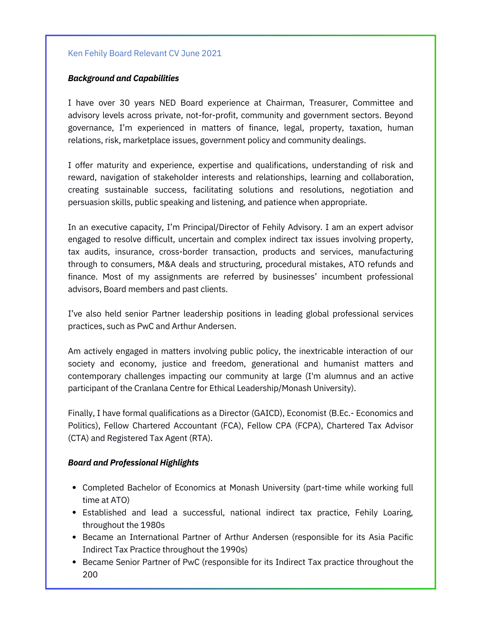## Ken Fehily Board Relevant CV June 2021

### *Background and Capabilities*

I have over 30 years NED Board experience at Chairman, Treasurer, Committee and advisory levels across private, not-for-profit, community and government sectors. Beyond governance, I'm experienced in matters of finance, legal, property, taxation, human relations, risk, marketplace issues, government policy and community dealings.

I offer maturity and experience, expertise and qualifications, understanding of risk and reward, navigation of stakeholder interests and relationships, learning and collaboration, creating sustainable success, facilitating solutions and resolutions, negotiation and persuasion skills, public speaking and listening, and patience when appropriate.

In an executive capacity, I'm Principal/Director of Fehily Advisory. I am an expert advisor engaged to resolve difficult, uncertain and complex indirect tax issues involving property, tax audits, insurance, cross-border transaction, products and services, manufacturing through to consumers, M&A deals and structuring, procedural mistakes, ATO refunds and finance. Most of my assignments are referred by businesses' incumbent professional advisors, Board members and past clients.

I've also held senior Partner leadership positions in leading global professional services practices, such as PwC and Arthur Andersen.

Am actively engaged in matters involving public policy, the inextricable interaction of our society and economy, justice and freedom, generational and humanist matters and contemporary challenges impacting our community at large (I'm alumnus and an active participant of the Cranlana Centre for Ethical Leadership/Monash University).

Finally, I have formal qualifications as a Director (GAICD), Economist (B.Ec.- Economics and Politics), Fellow Chartered Accountant (FCA), Fellow CPA (FCPA), Chartered Tax Advisor (CTA) and Registered Tax Agent (RTA).

### *Board and Professional Highlights*

- Completed Bachelor of Economics at Monash University (part-time while working full time at ATO)
- Established and lead a successful, national indirect tax practice, Fehily Loaring, throughout the 1980s
- **Became an International Partner of Arthur Andersen (responsible for its Asia Pacific** Indirect Tax Practice throughout the 1990s)
- Became Senior Partner of PwC (responsible for its Indirect Tax practice throughout the 200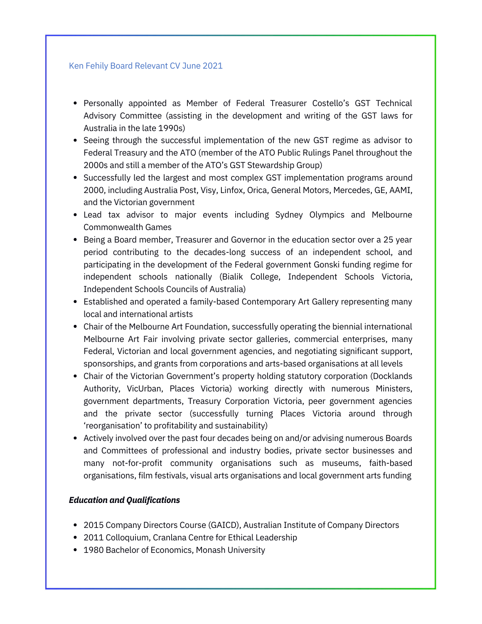### Ken Fehily Board Relevant CV June 2021

- Personally appointed as Member of Federal Treasurer Costello's GST Technical Advisory Committee (assisting in the development and writing of the GST laws for Australia in the late 1990s)
- Seeing through the successful implementation of the new GST regime as advisor to Federal Treasury and the ATO (member of the ATO Public Rulings Panel throughout the 2000s and still a member of the ATO's GST Stewardship Group)
- Successfully led the largest and most complex GST implementation programs around 2000, including Australia Post, Visy, Linfox, Orica, General Motors, Mercedes, GE, AAMI, and the Victorian government
- Lead tax advisor to major events including Sydney Olympics and Melbourne Commonwealth Games
- Being a Board member, Treasurer and Governor in the education sector over a 25 year period contributing to the decades-long success of an independent school, and participating in the development of the Federal government Gonski funding regime for independent schools nationally (Bialik College, Independent Schools Victoria, Independent Schools Councils of Australia)
- Established and operated a family-based Contemporary Art Gallery representing many local and international artists
- Chair of the Melbourne Art Foundation, successfully operating the biennial international Melbourne Art Fair involving private sector galleries, commercial enterprises, many Federal, Victorian and local government agencies, and negotiating significant support, sponsorships, and grants from corporations and arts-based organisations at all levels
- Chair of the Victorian Government's property holding statutory corporation (Docklands Authority, VicUrban, Places Victoria) working directly with numerous Ministers, government departments, Treasury Corporation Victoria, peer government agencies and the private sector (successfully turning Places Victoria around through 'reorganisation' to profitability and sustainability)
- Actively involved over the past four decades being on and/or advising numerous Boards and Committees of professional and industry bodies, private sector businesses and many not-for-profit community organisations such as museums, faith-based organisations, film festivals, visual arts organisations and local government arts funding

# *Education and Qualifications*

- 2015 Company Directors Course (GAICD), Australian Institute of Company Directors
- 2011 Colloquium, Cranlana Centre for Ethical Leadership
- 1980 Bachelor of Economics, Monash University